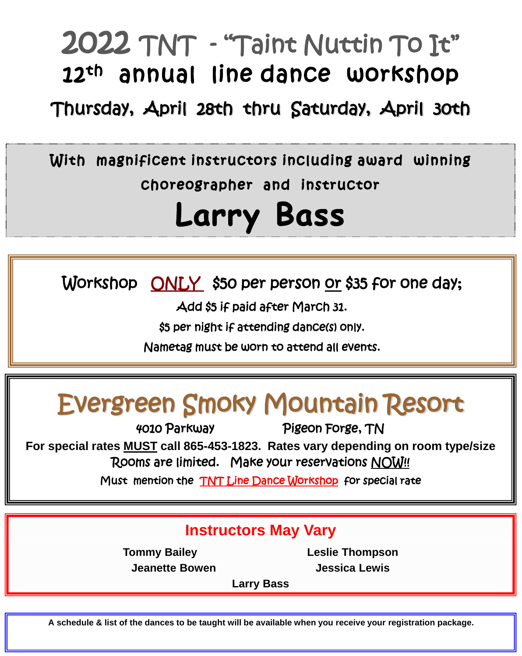# 2022 TNT - "Taint Nuttin To It" 12<sup>th</sup> annual line dance workshop

Thursday, April 28th thru Saturday, April 30th

With magnificent instructors including award winning Choreographer and instructor

# **Larry Bass**

## Workshop ONLY \$50 per person or \$35 for one day;

Add \$5 if paid after March 31.

\$5 per night if attending dance(s) only.

Nametag must be worn to attend all events.

# Evergreen Smoky Mountain Resort

4010 Parkway Pigeon Forge, TN

**For special rates MUST call 865-453-1823. Rates vary depending on room type/size** Rooms are limited. Make your reservations NOW!!

Must mention the TNT Line Dance Workshop for special rate

### **Instructors May Vary**

**Tommy Bailey Leslie Thompson Jeanette Bowen Jessica Lewis**

**Larry Bass**

**A schedule & list of the dances to be taught will be available when you receive your registration package.**